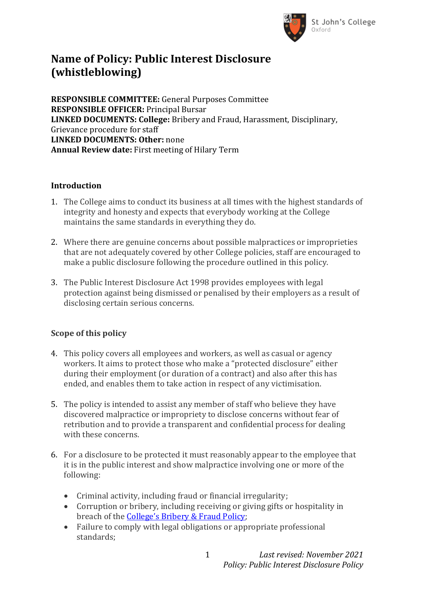

# **Name of Policy: Public Interest Disclosure (whistleblowing)**

**RESPONSIBLE COMMITTEE:** General Purposes Committee **RESPONSIBLE OFFICER:** Principal Bursar **LINKED DOCUMENTS: College:** Bribery and Fraud, Harassment, Disciplinary, Grievance procedure for staff **LINKED DOCUMENTS: Other:** none **Annual Review date:** First meeting of Hilary Term

#### **Introduction**

- 1. The College aims to conduct its business at all times with the highest standards of integrity and honesty and expects that everybody working at the College maintains the same standards in everything they do.
- 2. Where there are genuine concerns about possible malpractices or improprieties that are not adequately covered by other College policies, staff are encouraged to make a public disclosure following the procedure outlined in this policy.
- 3. The Public Interest Disclosure Act 1998 provides employees with legal protection against being dismissed or penalised by their employers as a result of disclosing certain serious concerns.

### **Scope of this policy**

- 4. This policy covers all employees and workers, as well as casual or agency workers. It aims to protect those who make a "protected disclosure" either during their employment (or duration of a contract) and also after this has ended, and enables them to take action in respect of any victimisation.
- 5. The policy is intended to assist any member of staff who believe they have discovered malpractice or impropriety to disclose concerns without fear of retribution and to provide a transparent and confidential process for dealing with these concerns.
- 6. For a disclosure to be protected it must reasonably appear to the employee that it is in the public interest and show malpractice involving one or more of the following:
	- Criminal activity, including fraud or financial irregularity;
	- Corruption or bribery, including receiving or giving gifts or hospitality in breach of the [College's Bribery & Fraud Policy](https://www.sjc.ox.ac.uk/discover/about-college/legal/college-policies/);
	- Failure to comply with legal obligations or appropriate professional standards;

1 *Last revised: November 2021 Policy: Public Interest Disclosure Policy*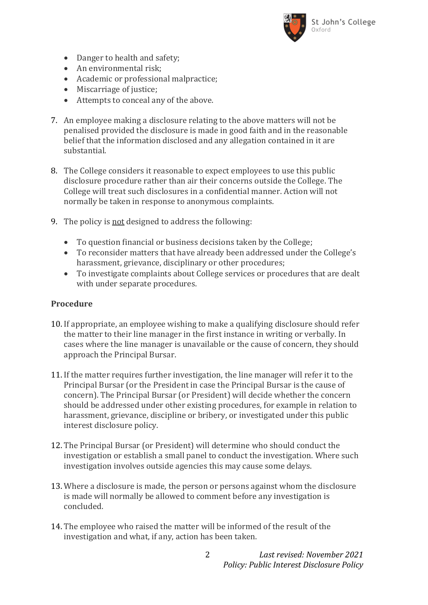

- Danger to health and safety;
- An environmental risk:
- Academic or professional malpractice;
- Miscarriage of justice;
- Attempts to conceal any of the above.
- 7. An employee making a disclosure relating to the above matters will not be penalised provided the disclosure is made in good faith and in the reasonable belief that the information disclosed and any allegation contained in it are substantial.
- 8. The College considers it reasonable to expect employees to use this public disclosure procedure rather than air their concerns outside the College. The College will treat such disclosures in a confidential manner. Action will not normally be taken in response to anonymous complaints.
- 9. The policy is not designed to address the following:
	- To question financial or business decisions taken by the College;
	- To reconsider matters that have already been addressed under the College's harassment, grievance, disciplinary or other procedures;
	- To investigate complaints about College services or procedures that are dealt with under separate procedures.

#### **Procedure**

- 10. If appropriate, an employee wishing to make a qualifying disclosure should refer the matter to their line manager in the first instance in writing or verbally. In cases where the line manager is unavailable or the cause of concern, they should approach the Principal Bursar.
- 11. If the matter requires further investigation, the line manager will refer it to the Principal Bursar (or the President in case the Principal Bursar is the cause of concern). The Principal Bursar (or President) will decide whether the concern should be addressed under other existing procedures, for example in relation to harassment, grievance, discipline or bribery, or investigated under this public interest disclosure policy.
- 12. The Principal Bursar (or President) will determine who should conduct the investigation or establish a small panel to conduct the investigation. Where such investigation involves outside agencies this may cause some delays.
- 13. Where a disclosure is made, the person or persons against whom the disclosure is made will normally be allowed to comment before any investigation is concluded.
- 14. The employee who raised the matter will be informed of the result of the investigation and what, if any, action has been taken.

2 *Last revised: November 2021 Policy: Public Interest Disclosure Policy*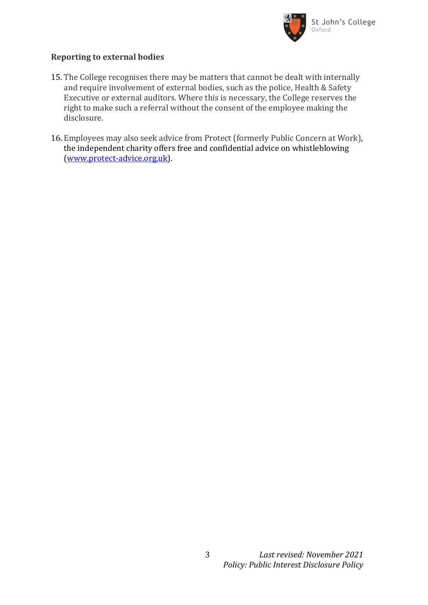

### **Reporting to external bodies**

- 15. The College recognises there may be matters that cannot be dealt with internally and require involvement of external bodies, such as the police, Health & Safety Executive or external auditors. Where this is necessary, the College reserves the right to make such a referral without the consent of the employee making the disclosure.
- 16. Employees may also seek advice from Protect (formerly Public Concern at Work), the independent charity offers free and confidential advice on whistleblowing [\(www.protect-advice.org.uk\)](http://www.protect-advice.org.uk/).